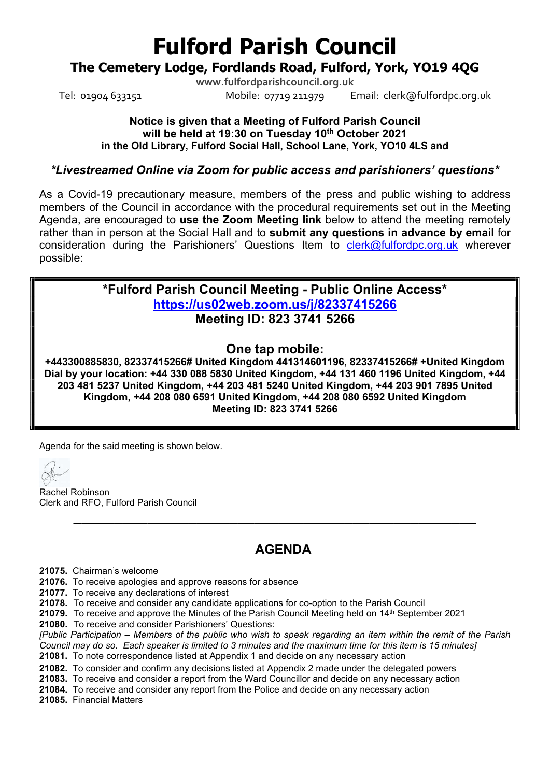# Fulford Parish Council

## The Cemetery Lodge, Fordlands Road, Fulford, York, YO19 4QG

www.fulfordparishcouncil.org.uk Tel: 01904 633151 Mobile: 07719 211979 Email: clerk@fulfordpc.org.uk

### Notice is given that a Meeting of Fulford Parish Council will be held at 19:30 on Tuesday 10<sup>th</sup> October 2021 in the Old Library, Fulford Social Hall, School Lane, York, YO10 4LS and

### \*Livestreamed Online via Zoom for public access and parishioners' questions\*

As a Covid-19 precautionary measure, members of the press and public wishing to address members of the Council in accordance with the procedural requirements set out in the Meeting Agenda, are encouraged to use the Zoom Meeting link below to attend the meeting remotely rather than in person at the Social Hall and to submit any questions in advance by email for consideration during the Parishioners' Questions Item to clerk@fulfordpc.org.uk wherever possible:

> \*Fulford Parish Council Meeting - Public Online Access\* https://us02web.zoom.us/j/82337415266 Meeting ID: 823 3741 5266

### One tap mobile:

+443300885830, 82337415266# United Kingdom 441314601196, 82337415266# +United Kingdom Dial by your location: +44 330 088 5830 United Kingdom, +44 131 460 1196 United Kingdom, +44 203 481 5237 United Kingdom, +44 203 481 5240 United Kingdom, +44 203 901 7895 United Kingdom, +44 208 080 6591 United Kingdom, +44 208 080 6592 United Kingdom Meeting ID: 823 3741 5266

Agenda for the said meeting is shown below.

Rachel Robinson Clerk and RFO, Fulford Parish Council

# **AGENDA**

\_\_\_\_\_\_\_\_\_\_\_\_\_\_\_\_\_\_\_\_\_\_\_\_\_\_\_\_\_\_\_\_\_\_\_\_\_\_\_\_\_\_\_\_\_\_\_\_\_

21075. Chairman's welcome

21076. To receive apologies and approve reasons for absence

21077. To receive any declarations of interest

21078. To receive and consider any candidate applications for co-option to the Parish Council

**21079.** To receive and approve the Minutes of the Parish Council Meeting held on  $14<sup>th</sup>$  September 2021

21080. To receive and consider Parishioners' Questions:

[Public Participation – Members of the public who wish to speak regarding an item within the remit of the Parish Council may do so. Each speaker is limited to 3 minutes and the maximum time for this item is 15 minutes]

21081. To note correspondence listed at Appendix 1 and decide on any necessary action

21082. To consider and confirm any decisions listed at Appendix 2 made under the delegated powers

21083. To receive and consider a report from the Ward Councillor and decide on any necessary action

21084. To receive and consider any report from the Police and decide on any necessary action

21085. Financial Matters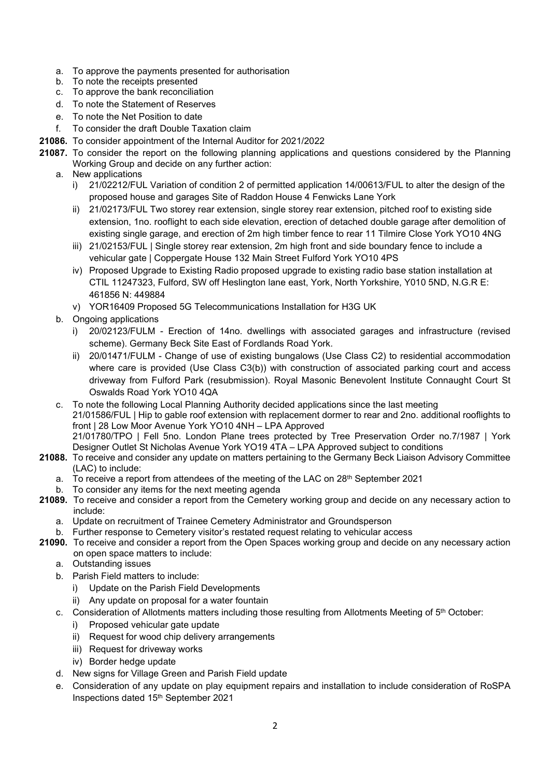- a. To approve the payments presented for authorisation
- b. To note the receipts presented
- c. To approve the bank reconciliation
- d. To note the Statement of Reserves
- e. To note the Net Position to date
- f. To consider the draft Double Taxation claim
- 21086. To consider appointment of the Internal Auditor for 2021/2022
- 21087. To consider the report on the following planning applications and questions considered by the Planning Working Group and decide on any further action:
	- a. New applications
		- i) 21/02212/FUL Variation of condition 2 of permitted application 14/00613/FUL to alter the design of the proposed house and garages Site of Raddon House 4 Fenwicks Lane York
		- ii) 21/02173/FUL Two storey rear extension, single storey rear extension, pitched roof to existing side extension, 1no. rooflight to each side elevation, erection of detached double garage after demolition of existing single garage, and erection of 2m high timber fence to rear 11 Tilmire Close York YO10 4NG
		- iii) 21/02153/FUL | Single storey rear extension, 2m high front and side boundary fence to include a vehicular gate | Coppergate House 132 Main Street Fulford York YO10 4PS
		- iv) Proposed Upgrade to Existing Radio proposed upgrade to existing radio base station installation at CTIL 11247323, Fulford, SW off Heslington lane east, York, North Yorkshire, Y010 5ND, N.G.R E: 461856 N: 449884
		- v) YOR16409 Proposed 5G Telecommunications Installation for H3G UK
	- b. Ongoing applications
		- i) 20/02123/FULM Erection of 14no. dwellings with associated garages and infrastructure (revised scheme). Germany Beck Site East of Fordlands Road York.
		- ii) 20/01471/FULM Change of use of existing bungalows (Use Class C2) to residential accommodation where care is provided (Use Class C3(b)) with construction of associated parking court and access driveway from Fulford Park (resubmission). Royal Masonic Benevolent Institute Connaught Court St Oswalds Road York YO10 4QA
	- c. To note the following Local Planning Authority decided applications since the last meeting 21/01586/FUL | Hip to gable roof extension with replacement dormer to rear and 2no. additional rooflights to front | 28 Low Moor Avenue York YO10 4NH – LPA Approved 21/01780/TPO | Fell 5no. London Plane trees protected by Tree Preservation Order no.7/1987 | York Designer Outlet St Nicholas Avenue York YO19 4TA – LPA Approved subject to conditions
- 21088. To receive and consider any update on matters pertaining to the Germany Beck Liaison Advisory Committee (LAC) to include:
	- a. To receive a report from attendees of the meeting of the LAC on 28th September 2021
	- b. To consider any items for the next meeting agenda
- 21089. To receive and consider a report from the Cemetery working group and decide on any necessary action to include:
	- a. Update on recruitment of Trainee Cemetery Administrator and Groundsperson
	- b. Further response to Cemetery visitor's restated request relating to vehicular access
- 21090. To receive and consider a report from the Open Spaces working group and decide on any necessary action on open space matters to include:
	- a. Outstanding issues
	- b. Parish Field matters to include:
		- i) Update on the Parish Field Developments
		- ii) Any update on proposal for a water fountain
	- c. Consideration of Allotments matters including those resulting from Allotments Meeting of 5<sup>th</sup> October:
		- i) Proposed vehicular gate update
		- ii) Request for wood chip delivery arrangements
		- iii) Request for driveway works
		- iv) Border hedge update
	- d. New signs for Village Green and Parish Field update
	- e. Consideration of any update on play equipment repairs and installation to include consideration of RoSPA Inspections dated 15th September 2021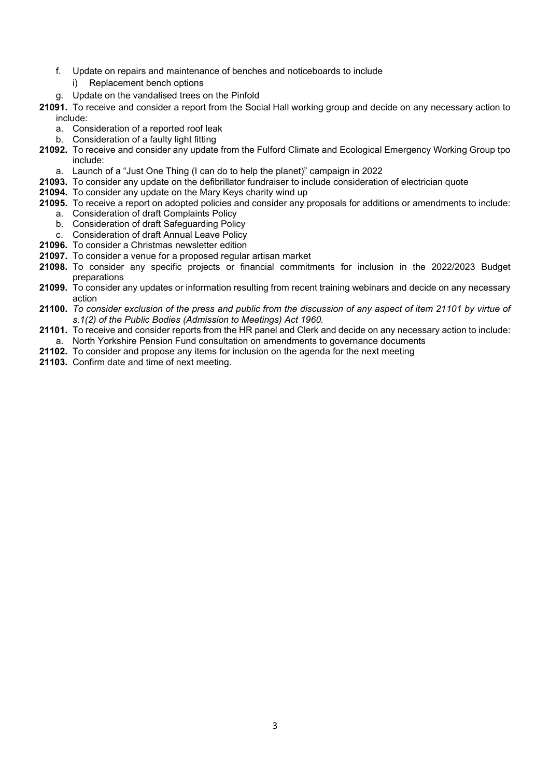- f. Update on repairs and maintenance of benches and noticeboards to include
	- i) Replacement bench options
- g. Update on the vandalised trees on the Pinfold
- 21091. To receive and consider a report from the Social Hall working group and decide on any necessary action to include:
	- a. Consideration of a reported roof leak
	- b. Consideration of a faulty light fitting
- 21092. To receive and consider any update from the Fulford Climate and Ecological Emergency Working Group tpo include:
	- a. Launch of a "Just One Thing (I can do to help the planet)" campaign in 2022
- 21093. To consider any update on the defibrillator fundraiser to include consideration of electrician quote
- 21094. To consider any update on the Mary Keys charity wind up
- 21095. To receive a report on adopted policies and consider any proposals for additions or amendments to include:
	- a. Consideration of draft Complaints Policy
	- b. Consideration of draft Safeguarding Policy
	- c. Consideration of draft Annual Leave Policy
- 21096. To consider a Christmas newsletter edition
- 21097. To consider a venue for a proposed regular artisan market
- 21098. To consider any specific projects or financial commitments for inclusion in the 2022/2023 Budget preparations
- 21099. To consider any updates or information resulting from recent training webinars and decide on any necessary action
- 21100. To consider exclusion of the press and public from the discussion of any aspect of item 21101 by virtue of s.1(2) of the Public Bodies (Admission to Meetings) Act 1960.
- 21101. To receive and consider reports from the HR panel and Clerk and decide on any necessary action to include: a. North Yorkshire Pension Fund consultation on amendments to governance documents
- 21102. To consider and propose any items for inclusion on the agenda for the next meeting
- 21103. Confirm date and time of next meeting.